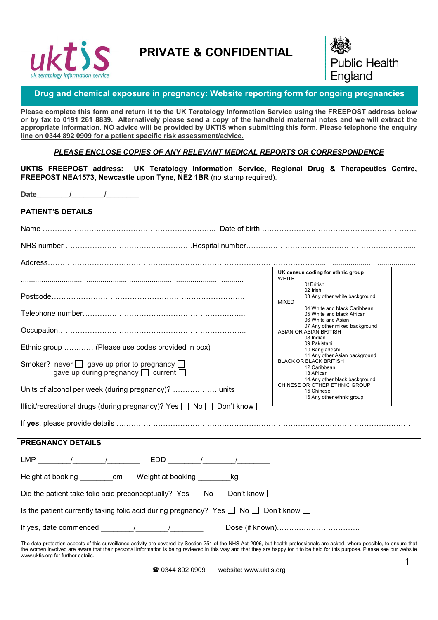

# PRIVATE & CONFIDENTIAL



# Drug and chemical exposure in pregnancy: Website reporting form for ongoing pregnancies

Please complete this form and return it to the UK Teratology Information Service using the FREEPOST address below or by fax to 0191 261 8839. Alternatively please send a copy of the handheld maternal notes and we will extract the appropriate information. NO advice will be provided by UKTIS when submitting this form. Please telephone the enquiry line on 0344 892 0909 for a patient specific risk assessment/advice.

### *PLEASE ENCLOSE COPIES OF ANY RELEVANT MEDICAL REPORTS OR CORRESPONDENCE*

UKTIS FREEPOST address: UK Teratology Information Service, Regional Drug & Therapeutics Centre, FREEPOST NEA1573, Newcastle upon Tyne, NE2 1BR (no stamp required).

Date  $\frac{1}{\sqrt{2\pi}}$ 

| <b>PATIENT'S DETAILS</b>                                                                            |                                                                                                                                |
|-----------------------------------------------------------------------------------------------------|--------------------------------------------------------------------------------------------------------------------------------|
|                                                                                                     |                                                                                                                                |
|                                                                                                     |                                                                                                                                |
|                                                                                                     |                                                                                                                                |
|                                                                                                     | UK census coding for ethnic group<br><b>WHITE</b>                                                                              |
|                                                                                                     | 01British<br>02 Irish                                                                                                          |
|                                                                                                     | 03 Any other white background<br><b>MIXED</b>                                                                                  |
|                                                                                                     | 04 White and black Caribbean<br>05 White and black African<br>06 White and Asian                                               |
|                                                                                                     | 07 Any other mixed background<br>ASIAN OR ASIAN BRITISH<br>08 Indian                                                           |
| Ethnic group  (Please use codes provided in box)                                                    | 09 Pakistani<br>10 Bangladeshi                                                                                                 |
| Smoker? never $\Box$ gave up prior to pregnancy $\Box$<br>gave up during pregnancy current          | 11 Any other Asian background<br><b>BLACK OR BLACK BRITISH</b><br>12 Caribbean<br>13 African<br>14. Any other black background |
|                                                                                                     | CHINESE OR OTHER ETHNIC GROUP<br>15 Chinese<br>16 Any other ethnic group                                                       |
| Illicit/recreational drugs (during pregnancy)? Yes □ No □ Don't know □                              |                                                                                                                                |
|                                                                                                     |                                                                                                                                |
|                                                                                                     |                                                                                                                                |
| <b>PREGNANCY DETAILS</b>                                                                            |                                                                                                                                |
|                                                                                                     |                                                                                                                                |
| Height at booking ___________ cm Weight at booking __________ kg                                    |                                                                                                                                |
| Did the patient take folic acid preconceptually? Yes $\Box$ No $\Box$ Don't know $\Box$             |                                                                                                                                |
| Is the patient currently taking folic acid during pregnancy? Yes $\Box$ No $\Box$ Don't know $\Box$ |                                                                                                                                |
| If yes, date commenced $\frac{1}{\sqrt{1-\frac{1}{2}}}\left  \frac{1}{\sqrt{1-\frac{1}{2}}}\right $ |                                                                                                                                |

The data protection aspects of this surveillance activity are covered by Section 251 of the NHS Act 2006, but health professionals are asked, where possible, to ensure that the women involved are aware that their personal information is being reviewed in this way and that they are happy for it to be held for this purpose. Please see our website www.uktis.org for further details.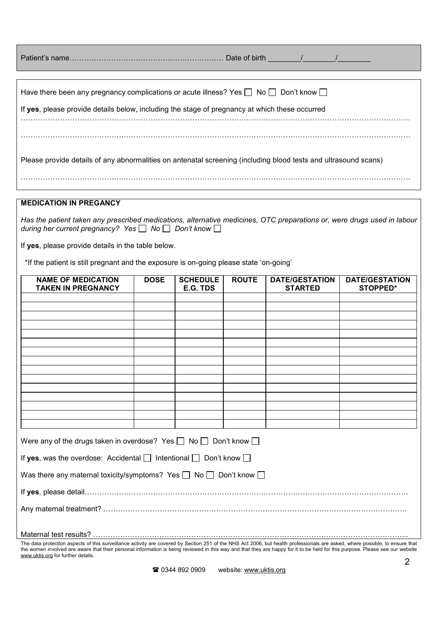| Have there been any pregnancy complications or acute illness? Yes $\Box$ No $\Box$ Don't know $\Box$            |
|-----------------------------------------------------------------------------------------------------------------|
| If yes, please provide details below, including the stage of pregnancy at which these occurred                  |
|                                                                                                                 |
|                                                                                                                 |
|                                                                                                                 |
| Please provide details of any abnormalities on antenatal screening (including blood tests and ultrasound scans) |
|                                                                                                                 |

#### MEDICATION IN PREGANCY

*Has the patient taken any prescribed medications, alternative medicines, OTC preparations or, were drugs used in labour during her current pregnancy?* Yes  $\Box$  No  $\Box$  Don't know  $\Box$ 

If yes, please provide details in the table below.

\*If the patient is still pregnant and the exposure is on-going please state 'on-going'

| <b>NAME OF MEDICATION</b>                                                        | <b>DOSE</b> | <b>SCHEDULE</b> | <b>ROUTE</b> | <b>DATE/GESTATION</b> | <b>DATE/GESTATION</b> |
|----------------------------------------------------------------------------------|-------------|-----------------|--------------|-----------------------|-----------------------|
| <b>TAKEN IN PREGNANCY</b>                                                        |             | E.G. TDS        |              | <b>STARTED</b>        | <b>STOPPED*</b>       |
|                                                                                  |             |                 |              |                       |                       |
|                                                                                  |             |                 |              |                       |                       |
|                                                                                  |             |                 |              |                       |                       |
|                                                                                  |             |                 |              |                       |                       |
|                                                                                  |             |                 |              |                       |                       |
|                                                                                  |             |                 |              |                       |                       |
|                                                                                  |             |                 |              |                       |                       |
|                                                                                  |             |                 |              |                       |                       |
|                                                                                  |             |                 |              |                       |                       |
|                                                                                  |             |                 |              |                       |                       |
|                                                                                  |             |                 |              |                       |                       |
| Were any of the drugs taken in overdose? Yes $\Box$ No $\Box$ Don't know $\Box$  |             |                 |              |                       |                       |
| If yes, was the overdose: Accidental $\Box$ Intentional $\Box$ Don't know $\Box$ |             |                 |              |                       |                       |
| Was there any maternal toxicity/symptoms? Yes $\Box$ No $\Box$ Don't know $\Box$ |             |                 |              |                       |                       |
|                                                                                  |             |                 |              |                       |                       |
|                                                                                  |             |                 |              |                       |                       |
|                                                                                  |             |                 |              |                       |                       |

The data protection aspects of this surveillance activity are covered by Section 251 of the NHS Act 2006, but health professionals are asked, where possible, to ensure that the women involved are aware that their personal information is being reviewed in this way and that they are happy for it to be held for this purpose. Please see our website www.uktis.org for further details.